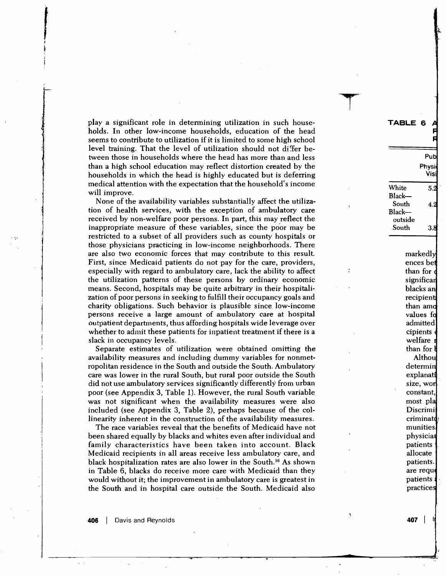play a significant role in determining utilization in such households. In other low-income households, education of the head seems to contribute to utilization if it is limited to some high school level training. That the level of utilization should not differ between those in households where the head has more than and less than a high school education may reflect distortion created by the households in which the head is highly educated but is deferring<br>medical attention with the expectation that the household's income will improve.<br>None of the availability variables substantially affect the utiliza-

tion of health services, with the exception of ambulatory care received by non-welfare poor persons. In part, this may reflect the inappropriate measure of these variables, since the poor may be restricted to a subset of all providers such as county hospitals or those physicians practicing in low-income neighborhoods. There are also two economic forces that may contribute to this result. First, since Medicaid patients do not pay for the care, providers, especially with regard to ambulatory care, lack the ability to affect the utilization patterns of these persons by ordinary economic means. Second, hospitals may be quite arbitrary in their hospitalization of poor persons in seeking to fulfill their occupancy goals and charity obligations. Such behavior is plausible since low-income persons receive a large amount of ambulatory care at hospital outpatient departments, thus affording hospitals wide leverage over whether to admit these patients for inpatient treatment if there is a slack in occupancy levels.

Separate estimates of utilization were obtained omitting the availability measures and including dummy variables for nonmetropolitan residence in the South and outside the South. Ambulatory care was lower in the rural South, but rural poor outside the South did not use ambulatory services significantly differently from urban poor (see Appendix 3, Table 1). However, the rural South variable was not significant when the availability measures were also included (see Appendix 3, Table 2), perhaps because of the collinearity inherent in the construction of the availability measures.

The race variables reveal that the benefits of Medicaid have not been shared equally by blacks and whites even after individual and family characteristics have been taken into account. Black Medicaid recipients in all areas receive less ambulatory care, and black hospitalization rates are also lower in the South.<sup>16</sup> As shown in Table 6, blacks do receive more care with Medicaid than they would without it; the improvement in ambulatory care is greatest in the South and in hospital care outside the South. Medicaid also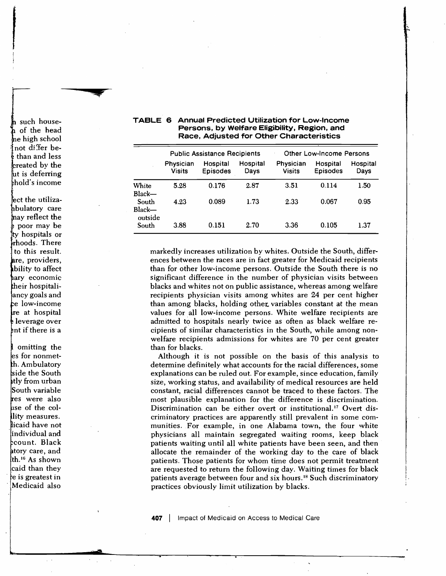|                            |                            | <b>Public Assistance Recipients</b> |                  | Other Low-Income Persons   |                             |                  |
|----------------------------|----------------------------|-------------------------------------|------------------|----------------------------|-----------------------------|------------------|
|                            | Physician<br><b>Visits</b> | Hospital<br><b>Episodes</b>         | Hospital<br>Days | Physician<br><b>Visits</b> | Hospital<br><b>Episodes</b> | Hospital<br>Days |
| White<br>Black-            | 5.28                       | 0.176                               | 2.87             | 3.51                       | 0.114                       | 1.50             |
| South<br>Black-<br>outside | 4.23                       | 0.089                               | 1.73             | 2.33                       | 0.067                       | 0.95             |
| South                      | 3.88                       | 0.151                               | 2.70             | 3.36                       | 0.105                       | 1.37             |

## TABLE 6 Annual Predicted Utilization for Low-Income Persons, by Welfare Eligibility, Region, and Race, Adjusted for Other Characteristics

markedly increases utilization by whites. Outside the South, differences between the races are in fact greater for Medicaid recipients than for other low-income persons. Outside the South there is no significant difference in the number of physician visits between blacks and whites not on public assistance, whereas among welfare recipients physician visits among whites are 24 per cent higher than among blacks, holding other, variables constant at the mean values for all low-income persons. White welfare recipients are admitted to hospitals nearly twice as often as black welfare recipients of similar characteristics in the South, while among nonwelfare recipients admissions for whites are 70 per cent greater than for blacks.

Although it is not possible on the basis of this analysis to determine definitely what accounts for the racial differences, some explanations can be ruled out. For example, since education, family size, working status, and availability of medical resources are held constant, racial differences cannot be traced to these factors. The most plausible explanation for the difference is discrimination. Discrimination can be either overt or institutional.'7 Overt discriminatory practices are apparently still prevalent in some com- munities. For example, in one Alabama town, the four white physicians all maintain segregated waiting rooms, keep black patients waiting until all white patients have been seen, and then allocate the remainder of the working day to the care of black patients. Those patients for whom time does not permit treatment are requested to return the following day. Waiting times for black patients average between four and six hours.'8 Such discriminatory practices obviously limit utilization by blacks.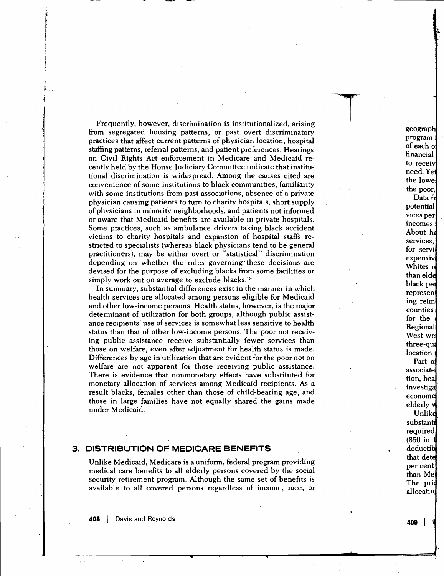Frequently, however, discrimination is institutionalized, arising from segregated housing patterns, or past overt discriminatory practices that affect current patterns of physician location, hospital staffing patterns, referral patterns, and patient preferences. Hearings on Civil Rights Act enforcement in Medicare and Medicald re-<br>cently held by the House Judiciary Committee indicate that institu-<br>tional discrimination is widespread. Among the causes cited are<br>convenience of some instituti physician causing patients to turn to charity hospitals, short supply<br>of physicians in minority neighborhoods, and patients not informed or aware that Medicaid benefits are available in private hospitals.<br>Some practices, such as ambulance drivers taking black accident or aware that Medicald Benefits are available in private hospitals.<br>Some practices, such as ambulance drivers taking black accident<br>victims to charity hospitals and expansion of hospital staffs re-<br>stricted to specialists

In summary, substantial differences exist in the manner in which<br>health services are allocated among persons eligible for Medicaid and other low-income persons. Health status, however, is the major and other low-filcome persons. Iteatur status, however, is the major<br>determinant of utilization for both groups, although public assist-<br>ance recipients' use of services is somewhat less sensitive to health<br>status than tha result blacks, females other than those of child-bearing age, and those in large families have not equally shared the gains made under Medicaid.

#### 3. DISTRIBUTION OF MEDICARE BENEFITS

Unlike Medicaid, Medicare is a uniform, federal program providing<br>medical care benefits to all elderly persons covered by the social<br>security retirement program. Although the same set of benefits is<br>available to all covere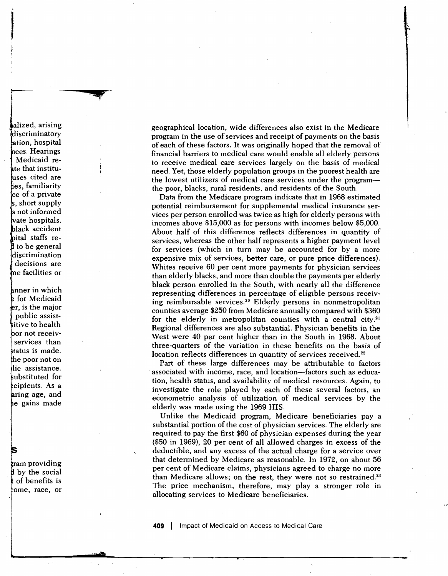geographical location, wide differences also exist in the Medicare program in the use of services and receipt of payments on the basis of each of these factors. It was originally hoped that the removal of financial barriers to medical care would enable all elderly persons to receive medical care services largely on the basis of medical need. Yet, those elderly population groups in the poorest health are the lowest utilizers of medical care services under the program the poor, blacks, rural residents, and residents of the South.

Data from the Medicare program indicate that in 1968 estimated potential reimbursement for supplemental medical insurance services per person enrolled was twice as high for elderly persons with incomes above \$15,000 as for persons with incomes below \$5,000. About half of this difference reflects differences in quantity of services, whereas the other half represents a higher payment level for services (which in turn may be accounted for by a more expensive mix of services, better care, or pure price differences). Whites receive 60 per cent more payments for physician services than elderly blacks, and more than double the payments per elderly black person enrolled in the South, with nearly all the difference representing differences in percentage of eligible persons receiving reimbursable services.20 Elderly persons in nonmetropolitan counties average \$250 from Medicare annually compared with \$360 for the elderly in metropolitan counties with a central city.<sup>21</sup> Regional differences are also substantial. Physician benefits in the West were 40 per cent higher than in the South in 1968. About three-quarters of the variation in these benefits on the basis of location reflects differences in quantity of services received.<sup>22</sup>

Part of these large differences may be attributable to factors associated with income, race, and location—factors such as education, health status, and availability of medical resources. Again, to investigate the role played by each of these several factors, an econometric analysis of utilization of medical services by the elderly was made using the 1969 HIS.

Unlike the Medicaid program, Medicare beneficiaries pay a substantial portion Of the cost of physician services. The elderly are required to pay the first \$60 of physician expenses during the year (\$50 in 1969), 20 per cent of all allowed charges in excess of the deductible, and any excess of the actual charge for a service over that determined by Medicare as reasonable. In 1972, on about 56 per cent of Medicare claims, physicians agreed to charge no more than Medicare allows; on the rest, they were not so restrained.<sup>23</sup><br>The price mechanism, therefore, may play a stronger role in allocating services to Medicare beneficiaries.

409 | Impact of Medicaid on Access to Medical Care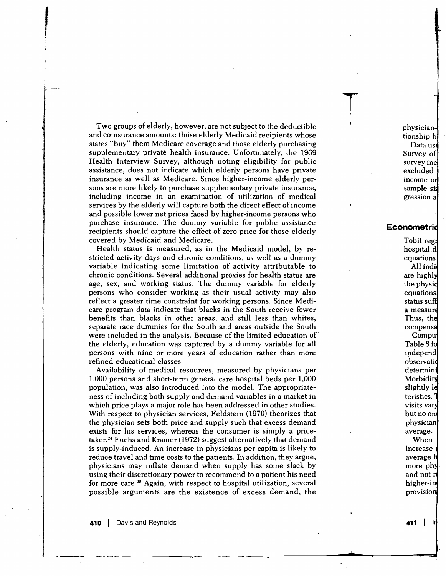Two groups of elderly, however, are not subject to the deductible and coinsurance amounts: those elderly Medicaid recipients whose states "buy" them Medicare coverage and those elderly purchasing supplementary private health insurance. Unfortunately, the 1969 Health Interview Survey, although noting eligibility for public assistance, does not indicate which elderly persons have private insurance as well as Medicare. Since higher-income elderly persons are more likely to purchase supplementary private insurance, including income in an examination of utilization of medical services by the elderly will capture both the direct effect of income and possible lower net prices faced by higher-income persons who purchase insurance. The dummy variable for public assistance recipients should capture the effect of zero price for those elderly covered by Medicaid and Medicare.

Health status is measured, as in the Medicaid model, by restricted activity days and chronic conditions, as well as a dummy variable indicating some limitation of activity attributable to chronic conditions. Several additional proxies for health status are age, sex, and working status. The dummy variable for elderly persons who consider working as their usual activity may also reflect a greater time constraint for working persons. Since Medicare program data indicate that blacks in the South receive fewer benefits than blacks in other areas, and still less than whites, separate race dummies for the South and areas outside the South were included in the analysis. Because of the limited education of the elderly, education was captured by a dummy variable for all persons with nine or more years of education rather than more refined educational classes.

Availability of medical resources, measured by physicians per 1,000 persons and short-term general care hospital beds per 1,000 population, was also introduced into the model. The appropriateness of including both supply and demand variables in a market in which price plays a major role has been addressed in other studies. With respect to physician services, Feldstein (1970) theorizes that the physician sets both price and supply such that excess demand exists for his services, whereas the consumer is simply a pricetaker.24 Fuchs and Kramer (1972) suggest alternatively that demand is supply-induced. An increase in physicians per capita is likely to reduce travel and time costs to the patients. In addition, they argue, physicians may inflate demand when supply has some slack by using their discretionary power to recommend to a patient his need for more care.25 Again, with respect to hospital utilization, several possible arguments are the existence of excess demand, the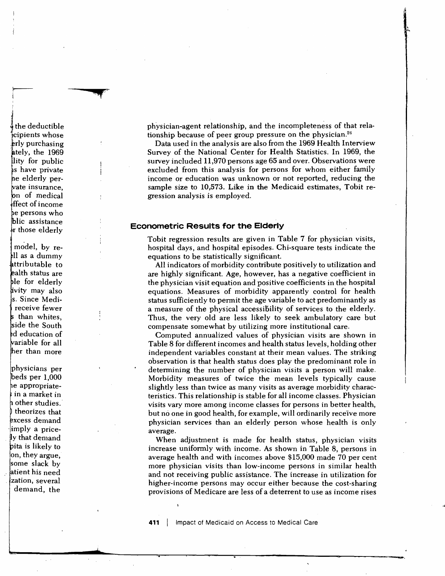physician-agent relationship, and the incompleteness of that relationship because of peer group pressure on the physician.26

Data used in the analysis are also from the 1969 Health Interview Survey of the National Center for Health Statistics. In 1969, the survey included 11,970 persons age 65 and over. Observations were excluded from this analysis for persons for whom either family income or education was unknown or not reported, reducing the sample size to 10,573. Like in the Medicaid estimates, Tobit regression analysis is employed.

#### Econometric Results for the Elderly

purchasing

•r those elderly

Tobit regression results are given in Table 7 for physician visits, hospital days, and hospital episodes. Chi-square tests indicate the equations to be statistically significant.

All indicators of morbidity contribute positively to utilization and are highly significant. Age, however, has a negative coefficient in the physician visit equation and positive coefficients in the hospital equations. Measures of morbidity apparently control for health status sufficiently to permit the age variable to act predominantly as a measure of the physical accessibility of services to the elderly. Thus, the very old are less likely to seek ambulatory care but compensate somewhat by utilizing more institutional care.

Computed annualized values of physician visits are shown in Table 8 for different incomes and health status levels, holding other independent variables constant at their mean values. The striking observation is that health status does play the predominant role in determining the number of physician visits a person will make. Morbidity measures of twice the mean levels typically cause slightly less than twice as many visits as average morbidity characteristics. This relationship is stable for all income classes. Physician visits vary more among income classes for persons in better health, but no one in good health, for example, will ordinarily receive more physician services than an elderly person whose health is only average.

When adjustment is made for health status, physician visits increase uniformly with income. As shown in Table 8, persons in average health and with incomes above \$15,000 made 70 per cent more physician visits than low-income persons in similar health and not receiving public assistance. The increase in utilization for higher-income persons may occur either because the cost-sharing provisions of Medicare are less of a deterrent to use as income rises

411 | Impact of Medicaid on Access to Medical Care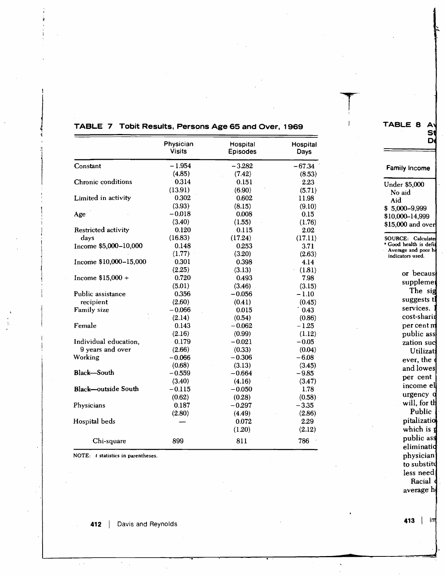|                            | Physician<br><b>Visits</b> | Hospital<br>Episodes | Hospital<br>Days |
|----------------------------|----------------------------|----------------------|------------------|
| Constant                   | $-1.954$                   | $-3.282$             | $-67.34$         |
|                            | (4.85)                     | (7.42)               | (8.53)           |
| <b>Chronic conditions</b>  | 0.314                      | 0.151                | 2.23             |
|                            | (13.91)                    | (6.90)               | (5.71)           |
| Limited in activity        | 0.302                      | 0.602                | 11.98            |
|                            | (3.93)                     | (8.15)               | (9.10)           |
| Age                        | $-0.018$                   | 0.008                | 0.15             |
|                            | (3.40)                     | (1.55)               | (1.76)           |
| Restricted activity        | 0.120                      | 0.115                | 2.02             |
| days                       | (16.83)                    | (17.24)              | (17.11)          |
| Income \$5,000-10,000      | 0.148                      | 0.253                | 3.71             |
|                            | (1.77)                     | (3.20)               | (2.63)           |
| Income \$10,000-15,000     | 0.301                      | 0.398                | 4.14             |
|                            | (2.25)                     | (3.13)               | (1.81)           |
| Income $$15,000 +$         | 0.720                      | 0.493                | 7.98             |
|                            | (5.01)                     | (3.46)               | (3.15)           |
| Public assistance          | 0.356                      | $-0.056$             | $-1.10$          |
| recipient                  | (2.60)                     | (0.41)               | (0.45)           |
| Family size                | $-0.066$                   | 0.015                | 0.43             |
|                            | (2.14)                     | (0.54)               | (0.86)           |
| Female                     | 0.143                      | $-0.062$             | $-1.25$          |
|                            | (2.16)                     | (0.99)               | (1.12)           |
| Individual education,      | 0.179                      | $-0.021$             | $-0.05$          |
| 9 years and over           | (2.66)                     | (0.33)               | (0.04)           |
| Working                    | $-0.066$                   | $-0.306$             | $-6.08$          |
|                            | (0.68)                     | (3.13)               | (3.45)           |
| <b>Black-South</b>         | $-0.559$                   | $-0.664$             | $-9.85$          |
|                            | (3.40)                     | (4.16)               | (3.47)           |
| <b>Black-outside South</b> | $-0.115$                   | $-0.050$             | 1.78             |
|                            | (0.62)                     | (0.28)               | (0.58)           |
| Physicians                 | 0.187                      | $-0.297$             | $-3.35$          |
|                            | (2.80)                     | (4.49)               | (2.86)           |
| Hospital beds              |                            | 0.072                | 2.29             |
|                            |                            | (1.20)               | (2.12)           |
| Chi-square                 | 899                        | 811                  | 786              |

### TABLE 7 Tobit Results, Persons Age 65 and Over, 1969

**The Contract of the Contract of the Contract of the Contract of the Contract of the Contract of the Contract of The Contract of The Contract of The Contract of The Contract of The Contract of The Contract of The Contract** 

NOTE: t statistics in parentheses.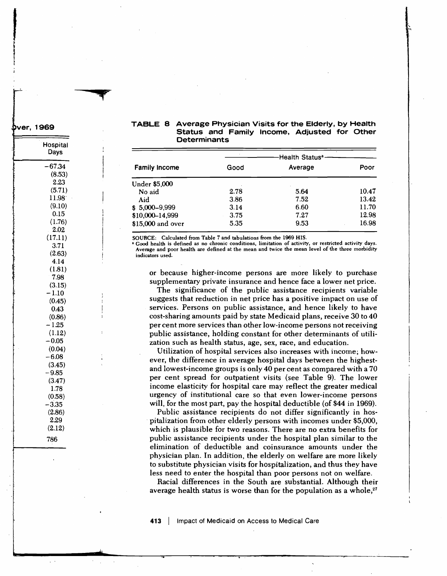# TABLE 8 Average Physician Visits for the Elderly, by Health Status and Family Income, Adjusted for Other Determinants

|                      |      | Health Status <sup>a</sup> - |       |
|----------------------|------|------------------------------|-------|
| <b>Family Income</b> | Good | Average                      | Poor  |
| Under \$5,000        |      |                              |       |
| No aid               | 2.78 | 5.64                         | 10.47 |
| Aid                  | 3.86 | 7.52                         | 13.42 |
| $$5,000-9,999$       | 3.14 | 6.60                         | 11.70 |
| \$10,000-14,999      | 3.75 | 7.27                         | 12.98 |
| \$15,000 and over    | 5.35 | 9.53                         | 16.98 |

SOURCE: Calculated from Table 7 and tabulations from the 1969 HIS.

'Good health is defined as no chronic conditions, limitation of activity, or restricted activity days. Average and poor health are defined at the mean and twice the mean level of the three morbidity indicators used.

or because higher-income persons are more likely to purchase supplementary private insurance and hence face a lower net price.

The significance of the public assistance recipients variable suggests that reduction in net price has a positive impact on use of services. Persons on public assistance, and hence likely to have cost-sharing amounts paid by state Medicaid plans, receive 30 to 40 per cent more services than other low-income persons not receiving public assistance, holding constant for other determinants of utilization such as health status, age, sex, race, and education.

Utilization of hospital services also increases with income; however, the difference in average hospital days between the highestand lowest-income groups is only 40 per cent as compared with a 70 per cent spread for outpatient visits (see Table 9). The lower income elasticity for hospital care may reflect the greater medical urgency of institutional care so that even lower-income persons will, for the most part, pay the hospital deductible (of \$44 in 1969).

Public assistance recipients do not differ significantly in hospitalization from other elderly persons with incomes under \$5,000, which is plausible for two reasons. There are no extra benefits for public assistance recipients under the hospital plan similar to the elimination of deductible and coinsurance amounts under the physician plan. In addition, the elderly on welfare are more likely to substitute physician visits for hospitalization, and thus they have less need to enter the hospital than poor persons not on welfare.

Racial differences in the South are substantial. Although their average health status is worse than for the population as a whole, $27$ 

413 I Impact of Medicaid on Access to Medical Care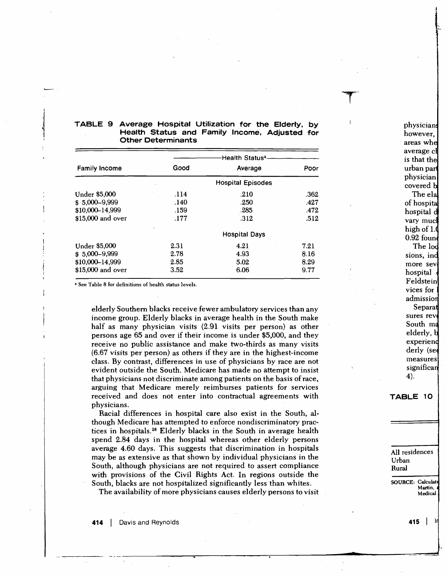|                      | -Health Statusª– |                          |      |  |  |
|----------------------|------------------|--------------------------|------|--|--|
| <b>Family Income</b> | Good             | Average                  | Poor |  |  |
|                      |                  | <b>Hospital Episodes</b> |      |  |  |
| <b>Under \$5,000</b> | .114             | .210                     | .362 |  |  |
| $$5,000 - 9,999$     | .140             | .250                     | .427 |  |  |
| \$10,000-14,999      | .159             | .285                     | .472 |  |  |
| \$15,000 and over    | .177             | .312                     | .512 |  |  |
|                      |                  | <b>Hospital Days</b>     |      |  |  |
| <b>Under \$5,000</b> | 2.31             | 4.21                     | 7.21 |  |  |
| $$5,000-9,999$       | 2.78             | 4.93                     | 8.16 |  |  |
| \$10,000-14,999      | 2.85             | 5.02                     | 8.29 |  |  |
| \$15,000 and over    | 3.52             | 6.06                     | 9.77 |  |  |

# TABLE 9 Average Hospital Utilization for the Elderly, by Health Status and Family Income, Adjusted for Other Determinants

T

<sup>a</sup> See Table 8 for definitions of health status levels.

elderly Southern blacks receive fewer ambulatory services than any income group. Elderly blacks in average health in the South make half as many physician visits (2.91 visits per person) as other persons age 65 and over if their income is under \$5,000, and they receive no public assistance and make two-thirds as many visits (6.67 visits per person) as others if they are in the highest-income class. By contrast, differences in use of physicians by race are not evident outside the South. Medicare has made no attempt to insist that physicians not discriminate among patients on the basis of race, arguing that Medicare merely reimburses patients for services received and does not enter into contractual agreements with physicians.

Racial differences in hospital care also exist in the South, although Medicare has attempted to enforce nondiscriminatory practices in hospitals.28 Elderly blacks in the South in average health spend 2.84 days in the hospital whereas other elderly persons average 4.60 days. This suggests that discrimination in hospitals may be as extensive as that shown by individual physicians in the South, although physicians are not required to assert compliance with provisions of the Civil Rights Act. In regions outside the South, blacks are not hospitalized significantly less than whites.

The availability of more physicians causes elderly persons to visit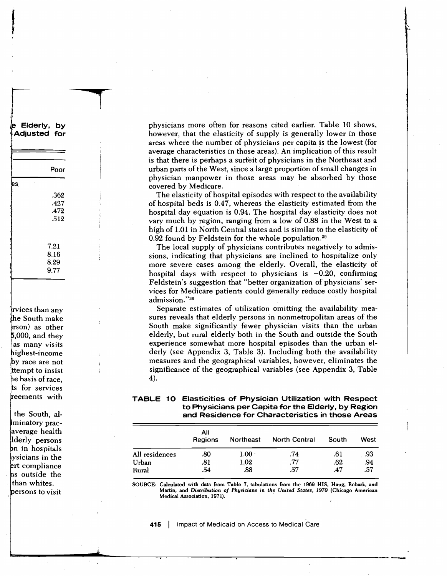physicians more often for reasons cited earlier. Table 10 shows, however, that the elasticity of supply is generally lower in those areas where the number of physicians per capita is the lowest (for average characteristics in those areas). An implication of this result is that there is perhaps a surfeit of physicians in the Northeast and urban parts of the West, since a large proportion of small changes in physician manpower in those areas may be absorbed by those covered by Medicare.

The elasticity of hospital episodes with respect to the availability of hospital beds is 0.47, whereas the elasticity estimated from the hospital day equation is 0.94. The hospital day elasticity does not vary much by region, ranging from a low of 0.88 in the West to a high of 1.01 in North Central states and is similar to the elasticity of  $0.92$  found by Feldstein for the whole population.<sup>29</sup>

The local supply of physicians contributes negatively to admissions, indicating that physicians are inclined to hospitalize only more severe cases among the elderly. Overall, the elasticity of hospital days with respect to physicians is  $-0.20$ , confirming Feldstein's suggestion that "better organization of physicians' services for Medicare patients could generally reduce costly hospital admission."3°

Separate estimates of utilization omitting the availability measures reveals that elderly persons in nonmetropolitan areas of the South make significantly fewer physician visits than the urban elderly, but rural elderly both in the South and outside the South experience somewhat more hospital episodes than the urban elderly (see Appendix 3, Table 3). Including both the availability measures and the geographical variables, however, eliminates the significance of the geographical variables (see Appendix 3, Table 4).

|                | All<br>Regions | Northeast         | <b>North Central</b> | South | West |
|----------------|----------------|-------------------|----------------------|-------|------|
| All residences | .80            | 1.00 <sub>1</sub> | .74                  | .61   | .93  |
| Urban          | .81            | 1.02              | .77                  | .62   | .94  |
| Rural          | .54            | .88               | .57                  | .47   | .57  |

## TABLE 10 Elasticities of Physician Utilization with Respect and Residence for Characteristics in those Areas

SOURCE: Calculated with data from Table 7, tabulations from the 1969 HIS, Haug, Robark, and Martin, and Distribution of Physicians in the United States, 1970 (Chicago American Medical Association, 1971).

415 | Impact of Medicaid on Access to Medical Care

**I** 

1

rvices than any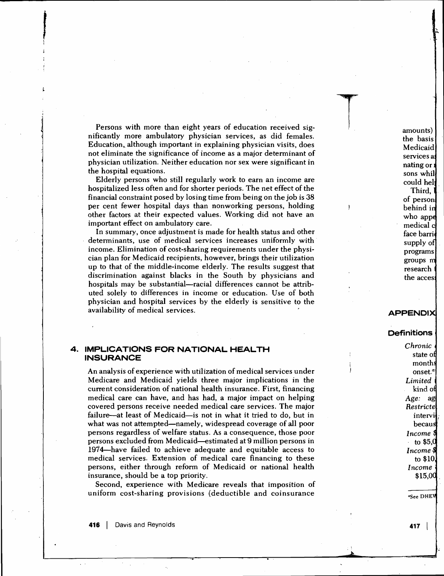Persons with more than eight years of education received significantly more ambulatory physician services, as did females. Education, although important in explaining physician visits, does not eliminate the significance of income as a major determinant of physician utilization. Neither education nor sex were significant in the hospital equations.

Elderly persons who still regularly work to earn an income are hospitalized less often and for shorter periods. The net effect of the financial constraint posed by losing time from being on the job is 38 per cent fewer hospital days than nonworking persons, holding other factors at their expected values. Working did not have an important effect on ambulatory care.

In summary, once adjustment is made for health status and other determinants, use of medical services increases uniformly with income. Elimination of cost-sharing requirements under the physician plan for Medicaid recipients, however, brings their utilization up to that of the middle-income elderly. The results suggest that discrimination against blacks in the South by physicians and hospitals may be substantial—racial differences cannot be attributed solely to differences in income or education. Use of both physician and hospital services by the elderly is sensitive to the availability of medical services.

#### 4. IMPLICATIONS FOR NATIONAL HEALTH **INSURANCE**

An analysis of experience with utilization of medical services under Medicare and Medicaid yields three major implications in the current consideration of national health insurance. First, financing medical care can have, and has had, a major impact on helping covered persons receive needed medical care services. The major failure—at least of Medicaid—is not in what it tried to do, but in what was not attempted—namely, widespread coverage of all poor persons regardless of welfare status. As a consequence, those poor persons excluded from Medicaid—estimated at 9 million persons in 1974—have failed to achieve adequate and equitable access to medical services. Extension of medical care financing to these persons, either through reform of Medicaid or national health insurance, should be a top priority.

Second, experience with Medicare reveals that imposition of uniform cost-sharing provisions (deductible and coinsurance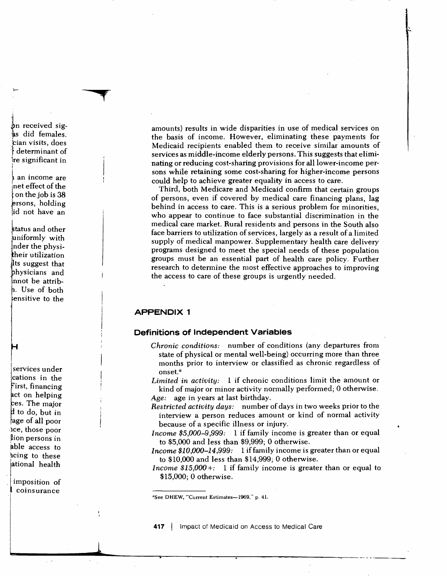amounts) results in wide disparities in use of medical services on the basis of income. However, eliminating these payments for Medicaid recipients enabled them to receive similar amounts of services as middle-income elderly persons. This suggests that eliminating or reducing cost-sharing provisions for all lower-income persons while retaining some cost-sharing for higher-income persons could help to achieve greater equality in access to care.

Third, both Medicare and Medicaid confirm that certain groups of persons, even if covered by medical care financing plans, lag behind in access to care. This is a serious problem for minorities, who appear to continue to face substantial discrimination in the medical care market. Rural residents and persons in the South also face barriers to utilization of services, largely as a result of a limited supply of medical manpower. Supplementary health care delivery programs designed to meet the special needs of these population groups must be an essential part of health care policy. Further research to determine the most effective approaches to improving the access to care of these groups is urgently needed. mounts) results in wide disparities in use of medical services on<br>he hasis of income. However, eliminating these payments for<br>decision deplents enabled them to receive similar amounts of<br>derivents are defined to the servi

#### APPENDIX 1

**I** 

 $\overline{\phantom{a}}$ 

 $\mathbf{u}$ 

 $\mathbf{I}$ 

#### Definitions of Independent Variables

Chronic conditions: number of conditions (any departures from state of physical or mental well-being) occurring more than three months prior to interview or classified as chronic regardless of onset.<sup>a</sup>

Limited in activity:  $1$  if chronic conditions limit the amount or kind of major or minor activity normally performed; 0 otherwise. Age: age in years at last birthday.

- Restricted activity days: number of days in two weeks prior to the interview a person reduces amount or kind of normal activity because of a specific illness or injury.
- Income  $$5,000-9,999$ : 1 if family income is greater than or equal to \$5,000 and less than \$9,999; 0 otherwise.
- Income  $$10,000-14,999$ : 1 if family income is greater than or equal to \$10,000 and less than \$14,999; 0 otherwise.

Income  $$15,000+:$  1 if family income is greater than or equal to \$15,000; 0 otherwise.

<sup>&</sup>lt;sup>a</sup>See DHEW, "Current Estimates-1969," p. 41.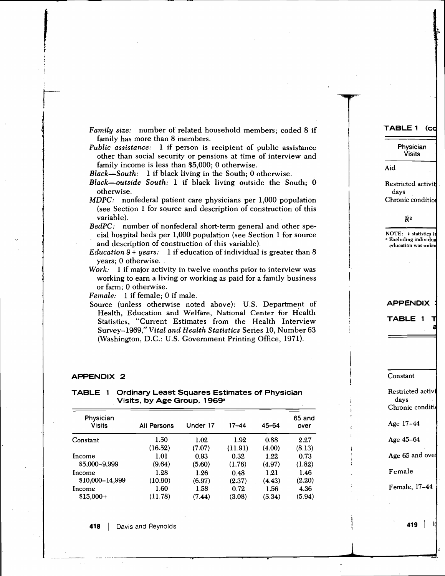- Family size: number of related household members; coded 8 if family has more than 8 members.
- Public assistance: 1 if person is recipient of public assistance other than social security or pensions at time of interview and family income is less than \$5,000; 0 otherwise.

 $Black-South: 1 if black living in the South: 0 otherwise.$ 

- $Black—outside South: 1 if black living outside the South: 0$ otherwise.
- MDPC: nonfederal patient care physicians per 1,000 population (see Section 1 for source and description of construction of this variable).
- BedPC: number of nonfederal short-term general and other special hospital beds per 1,000 population (see Section 1 for source and description of construction of this variable).
- Education  $9 + years: 1$  if education of individual is greater than 8 years; 0 otherwise.
- Work: 1 if major activity in twelve months prior to interview was working to earn a living or working as paid for a family business or farm; 0 otherwise.

Female: 1 if female; 0 if male.

Source (unless otherwise noted above): U.S. Department of Health, Education and Welfare, National Center for Health Statistics, "Current Estimates from the Health Interview Survey—1969," Vital and Health Statistics Series 10, Number 63 (Washington, D.C.: U.S. Government Printing Office, 1971).

#### APPENDIX 2

 $\mathbf{f}(\mathbf{r})$ 

| Physician<br><b>Visits</b> | <b>All Persons</b> | Under 17 | $17 - 44$ | 45-64  | 65 and<br>over |
|----------------------------|--------------------|----------|-----------|--------|----------------|
| Constant                   | 1.50               | 1.02     | 1.92      | 0.88   | 2.27           |
|                            | (16.52)            | (7.07)   | (11.91)   | (4.00) | (8.13)         |
| Income                     | 1.01               | 0.93     | 0.32      | 1.22   | 0.73           |
| \$5,000-9,999              | (9.64)             | (5.60)   | (1.76)    | (4.97) | (1.82)         |
| Income                     | 1.28               | 1.26     | 0.48      | 1.21   | 1.46           |
| \$10,000-14,999            | (10.90)            | (6.97)   | (2.37)    | (4.43) | (2.20)         |
| Income                     | 1.60               | 1.58     | 0.72      | 1.56   | 4.36           |
| $$15,000+$                 | (11.78)            | (7.44)   | (3.08)    | (5.34) | (5.94)         |

 $\overline{\phantom{0}}$ 

# TABLE 1 Ordinary Least Squares Estimates of Physician<br>Visits, by Age Group, 1969<sup>a</sup>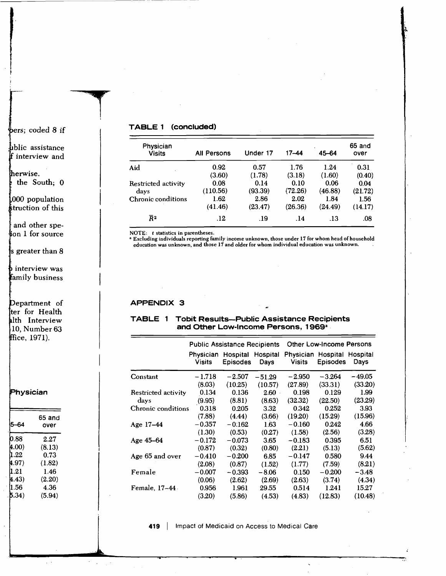| Physician<br><b>Visits</b>  | <b>All Persons</b> | Under 17 | 17–44   | 45-64   | 65 and<br>over |
|-----------------------------|--------------------|----------|---------|---------|----------------|
| Aid                         | 0.92               | 0.57     | 1.76    | 1.24    | 0.31           |
|                             | (3.60)             | (1.78)   | (3.18)  | (1.60)  | (0.40)         |
| Restricted activity<br>days | 0.08               | 0.14     | 0.10    | 0.06    | 0.04           |
|                             | (110.56)           | (93.39)  | (72.26) | (46.88) | (21.72)        |
| Chronic conditions          | 1.62               | 2.86     | 2.02    | 1.84    | 1.56           |
|                             | (41.46)            | (23.47)  | (26.36) | (24.49) | (14.17)        |
| $\bar{R}^2$                 | .12                | .19      | .14     | .13     | .08            |

# TABLE 1 (concluded) TABLE 1 (concluded)

Excluding individuals reporting family income unknown, those under 17 for whom head of household education was unknown, and those 17 and older for whom individual education was unknown.

#### APPENDIX 3

 $\mathsf{I}_{\mathsf{I}}$ 

 $\mathbf l$ 

 $\vert$ ith Interview

#### Public Assistance Recipients Other Low-Income Persons<br>
Physician Hospital Hospital Physician Hospital Hospital<br>
Visits Episodes Days<br>
Constant -1.718 -2.507 -51.29 -2.950 -3.264 -49.05<br>
(8.03) (10.25) (10.57) (27.89) (33.3 Public Assistance Recipients Other Low-Income Persons Physician Hospital Hospital Physician Hospital Hospital Visits Episodes Days Visits Episodes Days Constant — 1.718 —2.507 —51.29 —2.950 —3264 —49.05 (8.03) (10.25) (10.57) (27.89) (33.31) (33.20) days (9.95) (8.81) (8.81) (8.63) (32.32) (22.50) (23.29) Chronic conditions 0.318 0.205 3.32 0.318 0.205 3.32 0.342 0252 3.93 (7.88) (4.44) (3.66) (1920)  $(15.29)$ (15.96) —0.357  $-0.162$  1.63 0242 4.66 Age 17—44 1.63 —0.160 (1.30) (0.53) (027) (1.58) (2.56) (328) Age 45—64 —0.172  $-0.073$  3.65 3.65 —0.183 0.395 6.51 (0.87) (0.32) (0.80) (2.21) (5.13) (5.62) Age  $65$  and over  $-0.410$  $-0.200 6.85$ 0.580 9.44  $6.85 -0.147 0.58$ (2.08) (0.87) (1.52) (1.77) (7.59) (821) Female —0.007  $-8.06$  0.150  $0.150 -0.200 -3.48$ —0.393 —3.48  $(0.06)$ (2.62) (2.69) (2.63) (3.74) (4.34) Female, 17—44. 0.956 1.961 29.55 0.514 1241 1527 $(3.20)$  $(5.86)$  $(4.53)$  $(4.83)$  $(12.83)$  $(10.48)$

# TABLE 1 Tobit Results—Public Assistance Recipients and Other Low-Income Persons, 1 969a.

#### 419 | Impact of Medicaid on Access to Medical Care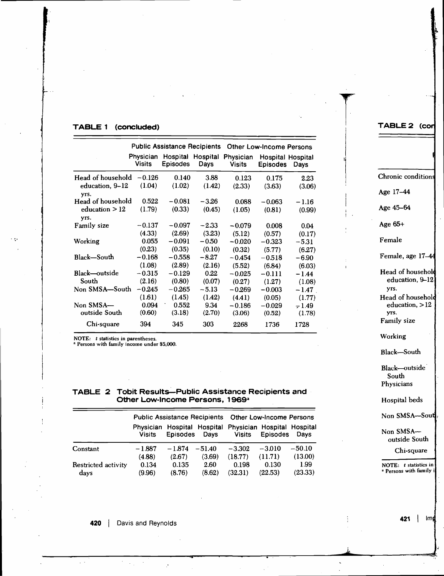#### TABLE 1 (concluded)

|                         |          |                 |         | Public Assistance Recipients Other Low-Income Persons  |                               |         |
|-------------------------|----------|-----------------|---------|--------------------------------------------------------|-------------------------------|---------|
|                         | Visits   | <b>Episodes</b> | Days    | Physician Hospital Hospital Physician<br><b>Visits</b> | Hospital Hospital<br>Episodes | Days    |
| Head of household       | $-0.126$ | 0.140           | 3.88    | 0.123                                                  | 0.175                         | 2.23    |
| education, 9-12<br>yrs. | (1.04)   | (1.02)          | (1.42)  | (2.33)                                                 | (3.63)                        | (3.06)  |
| Head of household       | 0.522    | $-0.081$        | $-3.26$ | 0.088                                                  | $-0.063$                      | $-1.16$ |
| education > 12<br>yrs.  | (1.79)   | (0.33)          | (0.45)  | (1.05)                                                 | (0.81)                        | (0.99)  |
| Family size             | $-0.137$ | $-0.097$        | $-2.33$ | $-0.079$                                               | 0.008                         | 0.04    |
|                         | (4.33)   | (2.69)          | (3.23)  | (5.12)                                                 | (0.57)                        | (0.17)  |
| Working                 | 0.055    | $-0.091$        | $-0.50$ | $-0.020$                                               | $-0.323$                      | $-5.31$ |
|                         | (0.23)   | (0.35)          | (0.10)  | (0.32)                                                 | (5.77)                        | (6.27)  |
| Black-South             | $-0.168$ | $-0.558$        | $-8.27$ | $-0.454$                                               | $-0.518$                      | $-6.90$ |
|                         | (1.08)   | (2.89)          | (2.16)  | (5.52)                                                 | (6.84)                        | (6.03)  |
| Black—outside           | $-0.315$ | $-0.129$        | 0.22    | $-0.025$                                               | $-0.111$                      | $-1.44$ |
| South                   | (2.16)   | (0.80)          | (0.07)  | (0.27)                                                 | (1.27)                        | (1.08)  |
| Non SMSA—South          | $-0.245$ | $-0.265$        | $-5.13$ | $-0.269$                                               | $-0.003$                      | $-1.47$ |
|                         | (1.61)   | (1.45)          | (1.42)  | (4.41)                                                 | (0.05)                        | (1.77)  |
| Non SMSA-               | 0.094    | 0.552           | 9.34    | $-0.186$                                               | $-0.029$                      | $-1.49$ |
| outside South           | (0.60)   | (3.18)          | (2.70)  | (3.06)                                                 | (0.52)                        | (1.78)  |
| Chi-square              | 394      | 345             | 303     | 2268                                                   | 1736                          | 1728    |

NOTE: t statistics in parentheses. 'Persons with family income under \$5,000.

|                     | Public Assistance Recipients  Other Low-Income Persons |                 |                |                  |                                                                  |                     |  |
|---------------------|--------------------------------------------------------|-----------------|----------------|------------------|------------------------------------------------------------------|---------------------|--|
|                     | Physician<br><b>Visits</b>                             | <b>Episodes</b> | Days           | <b>Visits</b>    | Hospital Hospital Physician Hospital Hospital<br><b>Episodes</b> | Davs                |  |
| Constant            | $-1.887$                                               | $-1.874$        | $-51.40$       | $-3.302$         | $-3.010$                                                         | $-50.10$<br>(13.00) |  |
| Restricted activity | (4.88)<br>0.134                                        | (2.67)<br>0.135 | (3.69)<br>2.60 | (18.77)<br>0.198 | (11.71)<br>0.130                                                 | 1.99                |  |
| days                | (9.96)                                                 | (8.76)          | (8.62)         | (32.31)          | (22.53)                                                          | (23.33)             |  |

#### 420 | Davis and Reynolds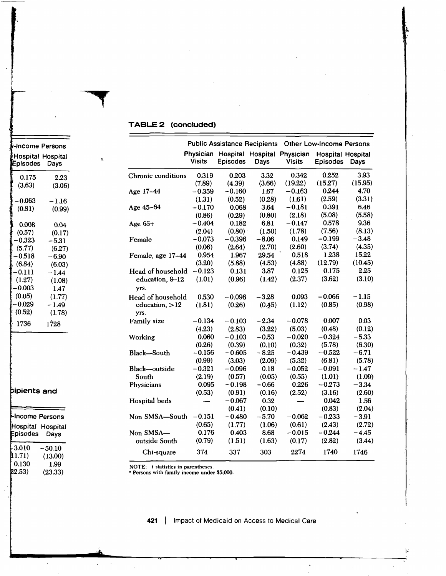$\mathbf{L}$ 

|                           | <b>Visits</b> | <b>Episodes</b> | Days    | Physician Hospital Hospital Physician<br><b>Visits</b> | <b>Hospital Hospital</b><br>Episodes | Days    |
|---------------------------|---------------|-----------------|---------|--------------------------------------------------------|--------------------------------------|---------|
| <b>Chronic conditions</b> | 0.319         | 0.203           | 3.32    | 0.342                                                  | 0.252                                | 3.93    |
|                           | (7.89)        | (4.39)          | (3.66)  | (19.22)                                                | (15.27)                              | (15.95) |
| Age 17-44                 | $-0.359$      | $-0.160$        | 1.67    | $-0.163$                                               | 0.244                                | 4.70    |
|                           | (1.31)        | (0.52)          | (0.28)  | (1.61)                                                 | (2.59)                               | (3.31)  |
| Age 45-64                 | $-0.170$      | 0.068           | 3.64    | $-0.181$                                               | 0.391                                | 6.46    |
|                           | (0.86)        | (0.29)          | (0.80)  | (2.18)                                                 | (5.08)                               | (5.58)  |
| Age $65+$                 | $-0.404$      | 0.182           | 6.81    | $-0.147$                                               | 0.578                                | 9.36    |
|                           | (2.04)        | (0.80)          | (1.50)  | (1.78)                                                 | (7.56)                               | (8.13)  |
| Female                    | $-0.073$      | $-0.396$        | $-8.06$ | 0.149                                                  | $-0.199$                             | $-3.48$ |
|                           | (0.06)        | (2.64)          | (2.70)  | (2.60)                                                 | (3.74)                               | (4.35)  |
| Female, age 17-44         | 0.954         | 1.967           | 29.54   | 0.518                                                  | 1.238                                | 15.22   |
|                           | (3.20)        | (5.88)          | (4.53)  | (4.88)                                                 | (12.79)                              | (10.45) |
| Head of household         | $-0.123$      | 0.131           | 3.87    | 0.125                                                  | 0.175                                | 2.25    |
| education, 9-12<br>yrs.   | (1.01)        | (0.96)          | (1.42)  | (2.37)                                                 | (3.62)                               | (3.10)  |
| Head of household         | 0.530         | $-0.096$        | $-3.28$ | 0.093                                                  | $-0.066$                             | $-1.15$ |
| education, $>12$<br>yrs.  | (1.81)        | (0.26)          | (0.45)  | (1.12)                                                 | (0.85)                               | (0.98)  |
| Family size               | $-0.134$      | $-0.103$        | $-2.34$ | $-0.078$                                               | 0.007                                | 0.03    |
|                           | (4.23)        | (2.83)          | (3.22)  | (5.03)                                                 | (0.48)                               | (0.12)  |
| Working                   | 0.060         | $-0.103$        | $-0.53$ | $-0.020$                                               | $-0.324$                             | $-5.33$ |
|                           | (0.26)        | (0.39)          | (0.10)  | (0.32)                                                 | (5.78)                               | (6.30)  |
| Black-South               | $-0.156$      | $-0.605$        | $-8.25$ | $-0.439$                                               | $-0.522$                             | $-6.71$ |
|                           | (0.99)        | (3.03)          | (2.09)  | (5.32)                                                 | (6.81)                               | (5.78)  |
| Black-outside             | $-0.321$      | $-0.096$        | 0.18    | $-0.052$                                               | $-0.091$                             | $-1.47$ |
| South                     | (2.19)        | (0.57)          | (0.05)  | (0.55)                                                 | (1.01)                               | (1.09)  |
| Physicians                | 0.095         | $-0.198$        | $-0.66$ | 0.226                                                  | $-0.273$                             | $-3.34$ |
|                           | (0.53)        | (0.91)          | (0.16)  | (2.52)                                                 | (3.16)                               | (2.60)  |
| Hospital beds             |               | $-0.067$        | 0.32    |                                                        | 0.042                                | 1.56    |
|                           |               | (0.41)          | (0.10)  |                                                        | (0.83)                               | (2.04)  |
| Non SMSA-South            | $-0.151$      | $-0.480$        | $-5.70$ | $-0.062$                                               | $-0.233$                             | $-3.91$ |
|                           | (0.65)        | (1.77)          | (1.06)  | (0.61)                                                 | (2.43)                               | (2.72)  |
| Non SMSA-                 | 0.176         | 0.403           | 8.68    | $-0.015$                                               | $-0.244$                             | $-4.45$ |
| outside South             | (0.79)        | (1.51)          | (1.63)  | (0.17)                                                 | (2.82)                               | (3.44)  |
| Chi-square                | 374           | 337             | 303     | 2274                                                   | 1740                                 | 1746    |

NOTE: t statistics in parentheses. 'Persons with family income under \$5,000.

#### 421 | Impact of Medicaid on Access to Medical Care

 $\vert \cdot$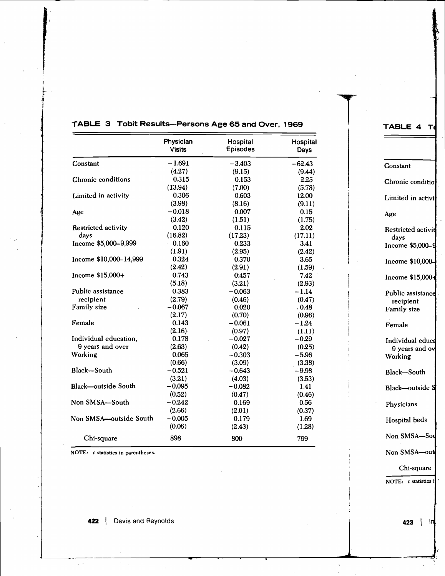|                            | Physician<br><b>Visits</b> | Hospital<br><b>Episodes</b> | Hospital<br>Days |
|----------------------------|----------------------------|-----------------------------|------------------|
| Constant                   | $-1.691$                   | $-3.403$                    | $-62.43$         |
|                            | (4.27)                     | (9.15)                      | (9.44)           |
| <b>Chronic</b> conditions  | 0.315                      | 0.153                       | 2.25             |
|                            | (13.94)                    | (7.00)                      | (5.78)           |
| Limited in activity        | 0.306                      | 0.603                       | 12.00            |
|                            | (3.98)                     | (8.16)                      | (9.11)           |
| Age                        | $-0.018$ .                 | 0.007                       | 0.15             |
|                            | (3.42)                     | (1.51)                      | (1.75)           |
| <b>Restricted activity</b> | 0.120                      | 0.115                       | 2.02             |
| days                       | (16.82)                    | (17.23)                     | (17.11)          |
| Income \$5,000-9,999       | 0.160                      | 0.233                       | 3.41             |
|                            | (1.91)                     | (2.95)                      | (2.42)           |
| Income \$10,000-14,999     | 0.324                      | 0.370                       | 3.65             |
|                            | (2.42)                     | (2.91)                      | (1.59)           |
| Income \$15,000+           | 0.743                      | 0.457                       | 7.42             |
|                            | (5.18)                     | (3.21)                      | (2.93)           |
| Public assistance          | 0.383                      | $-0.063$                    | $-1.14$          |
| recipient                  | (2.79)                     | (0.46)                      | (0.47)           |
| Family size                | $-0.067$                   | 0.020                       | $-0.48$          |
|                            | (2.17)                     | (0.70)                      | (0.96)           |
| Female                     | 0.143                      | $-0.061$                    | $-1.24$          |
|                            | (2.16)                     | (0.97)                      | (1.11)           |
| Individual education,      | 0.178                      | $-0.027$                    | $-0.29$          |
| 9 years and over           | (2.63)                     | (0.42)                      | (0.25)           |
| Working                    | $-0.065$                   | $-0.303$                    | $-5.96$          |
|                            | (0.66)                     | (3.09)                      | (3.38)           |
| Black-South                | $-0.521$                   | $-0.643$                    | $-9.98$          |
|                            | (3.21)                     | (4.03)                      | (3.53)           |
| <b>Black-outside South</b> | $-0.095$                   | $-0.082$                    | 1.41             |
|                            | (0.52)                     | (0.47)                      | (0.46)           |
| Non SMSA-South             | $-0.242$                   | 0.169                       | 0.56             |
|                            | (2.66)                     | (2.01)                      | (0.37)           |
| Non SMSA-outside South     | $-0.005$                   | 0.179                       | 1.69             |
|                            | (0.06)                     | (2.43)                      | (1.28)           |
| Chi-square                 | 898                        | 800                         | 799              |

### TABLE 3 Tobit Results-Persons Age 65 and Over, 1969

NOTE: t statistics in parentheses.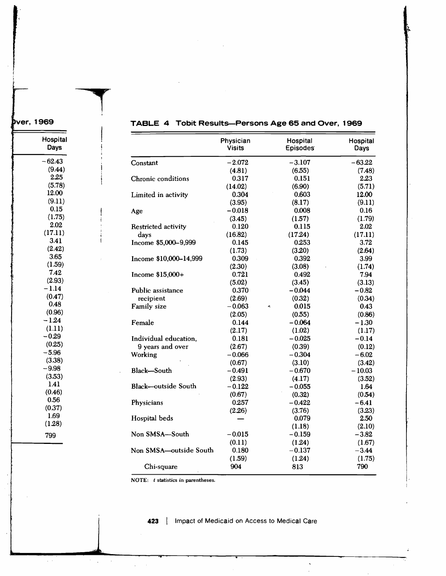|                        | Physician<br><b>Visits</b> | Hospital<br><b>Episodes</b> | Hospital<br>Days |
|------------------------|----------------------------|-----------------------------|------------------|
| Constant               | $-2.072$                   | $-3.107$                    | $-63.22$         |
|                        | (4.81)                     | (6.55)                      | (7.48)           |
| Chronic conditions     | 0.317                      | 0.151                       | 2.23             |
|                        | (14.02)                    | (6.90)                      | (5.71)           |
| Limited in activity    | 0.304                      | 0.603                       | 12.00            |
|                        | (3.95)                     | (8.17)                      | (9.11)           |
| Age                    | $-0.018$                   | 0.008                       | 0.16             |
|                        | (3.45)                     | (1.57)                      | (1.79)           |
| Restricted activity    | 0.120                      | 0.115                       | 2.02             |
| days                   | (16.82)                    | (17.24)                     | (17.11)          |
| Income \$5,000-9,999   | 0.145                      | 0.253                       | 3.72             |
|                        | (1.73)                     | (3.20)                      | (2.64)           |
| Income \$10,000-14,999 | 0.309                      | 0.392                       | 3.99             |
|                        | (2.30)                     | (3.08)                      | (1.74)           |
| Income \$15,000+       | 0.721                      | 0.492                       | 7.94             |
|                        | (5.02)                     | (3.45)                      | (3.13)           |
| Public assistance      | 0.370                      | $-0.044$                    | $-0.82$          |
| recipient              | (2.69)                     | (0.32)                      | (0.34)           |
| Family size            | $-0.063$                   | 0.015<br>k,                 | 0.43             |
|                        | (2.05)                     | (0.55)                      | (0.86)           |
| Female                 | 0.144                      | $-0.064$                    | -1.30            |
|                        | (2.17)                     | (1.02)                      | (1.17)           |
| Individual education,  | 0.181                      | $-0.025$                    | $-0.14$          |
| 9 years and over       | (2.67)                     | (0.39)                      | (0.12)           |
| Working                | $-0.066$                   | $-0.304$                    | $-6.02$          |
|                        | (0.67)                     | (3.10)                      | (3.42)           |
| Black-South            | $-0.491$                   | $-0.670$                    | $-10.03$         |
|                        | (2.93)                     | (4.17)                      | (3.52)           |
| Black-outside South    | $-0.122$                   | $-0.055$                    | 1.64             |
|                        | (0.67)                     | (0.32)                      | (0.54)           |
| Physicians             | 0.257                      | $-0.422$                    | $-6.41$          |
|                        | (2.26)                     | (3.76)                      | (3.23)           |
| Hospital beds          |                            | 0.079                       | 2.50             |
|                        |                            | (1.18)                      | (2.10)           |
| Non SMSA-South         | $-0.015$                   | $-0.159$                    | $-3.82$          |
|                        | (0.11)                     | (1.24)                      | (1.67)           |
| Non SMSA-outside South | 0.180                      | $-0.137$                    | $-3.44$          |
|                        | (1.59)                     | (1.24)                      | (1.75)           |
| Chi-square             | 904                        | 813                         | 790              |

NOTE:  $t$  statistics in parentheses.

# 423 | Impact of Medicaid 423 | Impact of Medicaid on Access to Medical Care

 $\mathbf{r}$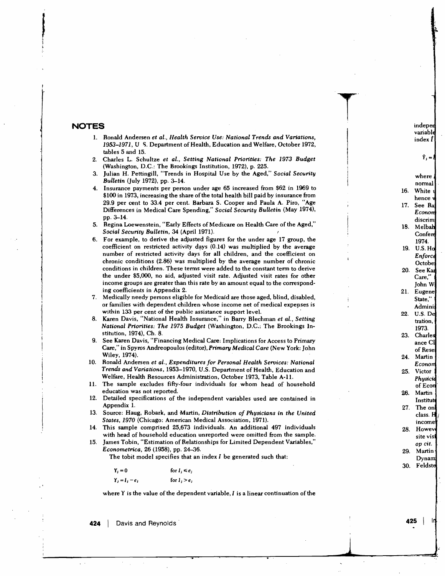#### NOTES in the contract of the contract of the contract of the contract of the contract of the contract of the contract of the contract of the contract of the contract of the contract of the contract of the contract of the c

- 1. Ronald Andersen et al., Health Service Use: National Trends and Variations, 1953–1971, U S. Department of Health, Education and Welfare, October 1972, tables 5 and 15.
- 2. Charles L. Schultze et at., Setting National Priorities: The 1973 Budget (Washington, D.C.: The Brookings Institution, 1972), p. 225.
- 3. Julian H. Pettingill, "Trends in Hospital Use by the Aged," Social Security Bulletin (July 1972), pp. 3–14.
- 4. Insurance payments per person under age 65 increased from \$62 in 1969 to \$100 in 1973, increasing the share of the total health bill paid by insurance from 29.9 per cent to 33.4 per cent. Barbara S. Cooper and Paula A. Piro, "Age Differences in Medical Care Spending," Social Security Bulletin ( pp. 3–14.<br>Peaths Kansas discrimination of March 2014, and the March 2014, and 2014, and 2014.
- 5. Regina Loewenstein, "Early Effects of Medicare on Health Care of the Aged," Social Security Bulletin, 34 (April 1971).
- 6. For example, to derive the adjusted figures for the under age 17 group, the coefficient on restricted activity days (0.14) was multiplied by the average number of restricted activity days for all children, and the coefficient on chronic conditions  $(2.86)$  was multiplied by the average number of chronic conditions in children. These terms were added to the constant term to derive the under \$5,000, no aid, adjusted visit rate. Adjusted visit rates for other income groups are greater than this rate by an amount equal to the corresponding coefficients in Appendix 2.
- 7. Medically needy persons eligible for Medicaid are those aged, blind, disabled, or families with dependent children whose income net of medical expenses is within 133 per cent of the public assistance support level.
- 8. Karen Davis, "National Health Insurance," in Barry Blechman et al., Setting National Priorities: The 1975 Budget (Washington, D.C.: The Brookings Institution, 1974), Ch. 8.
- 9. See Karen Davis, "Financing Medical Care: Implications for Access to Primary Care," in Spyros Andreopoulos (editor), *Primary Medical Care* (New York: John<br>Wilev. 1974). Wiley, 1974).<br> $\blacksquare$
- 10. Ronald Andersen et al., Expenditures for Personal Health Services: National Trends and Variations, 1953-1970, U.S. Department of Health, Education and Welfare, Health Resources Administration, October 1973, Table A-11.
- 11. The sample excludes fifty-four individuals for whom head of household education was not reported.
- 12. Detailed specifications of the independent variables used are contained in Appendix 1. Appendix 1.<br>27. **27. The only the only the only the only the only the only the only the only the only the only the only the**
- 13. Source: Haug, Robark, and Martin, Distribution of Physicians in the United States, 1970 (Chicago: American Medical Association, 1971).
- 14. This sample comprised 25,673 individuals. An additional 497 individuals with head of household education unreported were omitted from the sample.
- 15. James Tobin, "Estimation of Relationships for Limited Dependent Variables,"  $E$ conometrica, 26 (1958), pp. 24-36.

The tobit model specifies that an index  $I$  be generated such that:

| $Y_j = 0$         | for $l_j \leq e_j$ |  |
|-------------------|--------------------|--|
| $Y_i = I_i - e_i$ | for $l_i > e_i$    |  |

where  $Y$  is the value of the dependent variable,  $I$  is a linear continuation of the

 $\frac{1}{2}$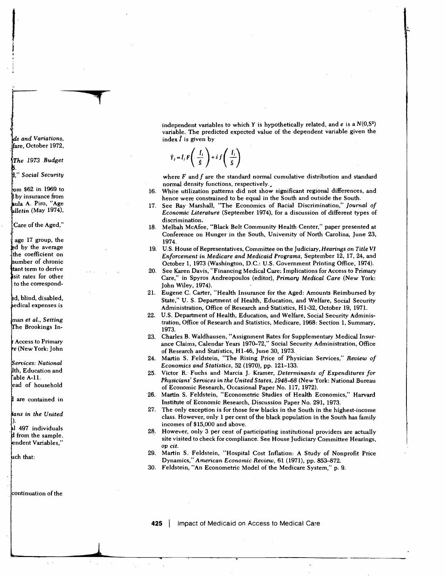independent variables to which Y is hypothetically related, and  $e$  is a  $N(0,S^2)$ variable. The predicted expected value of the dependent variable given the index  $\hat{I}$  is given by

$$
\hat{Y}_j = \hat{I}_j F\left(\frac{f_j}{\hat{S}}\right) + \hat{s} f\left(\frac{f_j}{\hat{S}}\right)
$$

where  $F$  and  $f$  are the standard normal cumulative distribution and standard normal density functions, respectively.

- White utilization patterns did not show significant regional differences, and  $16.$ hence were constrained to be equal in the South and outside the South.
- 17. See Ray Marshall, "The Economics of Racial Discrimination," Journal of *Economic Literature* (September 1974), for a discussion of different types of discrimination.
- 18. Melbah McAfee, "Black Belt Community Health Center," paper presented at Conference on Hunger in the South, University of North Carolina, June 23, 1974.
- 19. U.S. House of Representatives, Committee on the Judiciary, Hearings on Title VI Enforcement in Medicare and Medicaid Programs, September 12, 17, 24, and October 1, 1973 (Washington, D.C.: U.S. Government Printing Office, 1974).
- 20. See Karen Davis, "Financing Medical Care: Implications for Access to Primary Care," in Spyros Andreopoulos (editor), Primary Medical Care (New York: John Wiley, 1974).
- Eugene C. Carter, "Health Insurance for the Aged: Amounts Reimbursed by  $21.$ State," U. S. Department of Health, Education, and Welfare, Social Security Administration, Office of Research and Statistics, H1-32, October 19, 1971.
- $22.$ U.S. Department of Health, Education, and Welfare, Social Security Administration, Office of Research and Statistics, Medicare, 1968: Section 1, Summary, 1973.
- Charles B. Waldhausen, "Assignment Rates for Supplementary Medical Insur-23. ance Claims, Calendar Years 1970-72," Social Security Administration, Office of Research and Statistics, H1-46, June 30, 1973.
- Martin S. Feldstein, "The Rising Price of Physician Services," Review of 24. Economics and Statistics, 52 (1970), pp. 121-133.
- 25. Victor R. Fuchs and Marcia J. Kramer, Determinants of Expenditures for Physicians' Services in the United States, 1948–68 (New York: National Bureau of Economic Research, Occasional Paper No. 117, 1972).
- Martin S. Feldstein, "Econometric Studies of Health Economics," Harvard 26. Institute of Economic Research, Discussion Paper No. 291, 1973.
- 27. The only exception is for those few blacks in the South in the highest-income class. However, only 1 per cent of the black population in the South has family incomes of \$15,000 and above.
- 28. However, only 3 per cent of participating institutional providers are actually site visited to check for compliance. See House Judiciary Committee Hearings, op cit.
- 29. Martin S. Feldstein, "Hospital Cost Inflation: A Study of Nonprofit Price Dynamics," American Economic Review, 61 (1971), pp. 853-872.
- 30. Feldstein, "An Econometric Model of the Medicare System," p. 9.

425 Impact of Medicaid on Access to Medical Care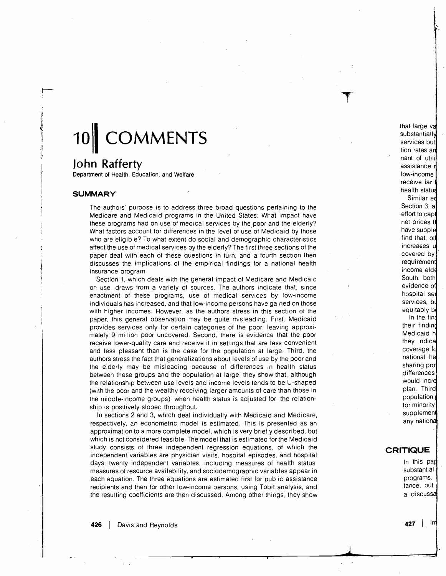# 10 COMMENTS

# John Rafferty

Department of Health, Education, and Welfare

## SUMMARY health status and the status of the status of the status of the status of the status of the status of the status of the status of the status of the status of the status of the status of the status of the status of

The authors' purpose is to address three broad questions pertaining to the Medicare and Medicaid programs in the United States: What impact have these programs had on use of medical services by the poor and the elderly? What factors account for differences in the level of use of Medicaid by those who are eligible? To what extent do social and demographic characteristics affect the use of medical services by the elderly? The first three sections of the paper deal with each of these questions in turn, and a fourth section then discusses the implications of the empirical findings for a national health program. Income elder the company of the company of the company of the company of the company of the company of the company of the company of the company of the company of the company of the company of the company of the c

Section 1, which deals with the general impact of Medicare and Medicaid on use, draws from a variety of sources. The authors indicate that, since enactment of these programs, use of medical services by low-income individuals has increased, and that low-income persons have gained on those with higher incomes. However, as the authors stress in this section of the paper, this general observation may be quite misleading. First, Medicaid provides services only for certain categories of the poor, leaving approximately 9 million poor uncovered. Second, there is evidence that the poor receive lower-quality care and receive it in settings that are less convenient and less pleasant than is the case for the population at large. Third, the authors stress the fact that generalizations about levels of use by the poor and the elderly may be misleading because of differences in health status between these groups and the population at large; they show that, although the relationship between use levels and income levels tends to be U-shaped (with the poor and the wealthy receiving larger amounts of care than those in the middle-income groups), when health status is adjusted for, the relationship is positively sloped throughout.

In sections 2 and 3, which deal individually with Medicaid and Medicare, respectively, an econometric model is estimated. This is presented as an approximation to a more complete model, which is very briefly described, but which is not considered feasible. The model that is estimated forthe Medicaid study consists of three independent regression equations, of which the independent variables are physician visits, hospital episodes, and hospital days; twenty independent variables, including measures of health status, measures of resource availability, and sociodemographic variables appear in each equation. The three equations are estimated first for public assistance recipients and then for other low-income persons, using Tobit analysis, and the resulting coefficients are then discussed. Among other things, they show a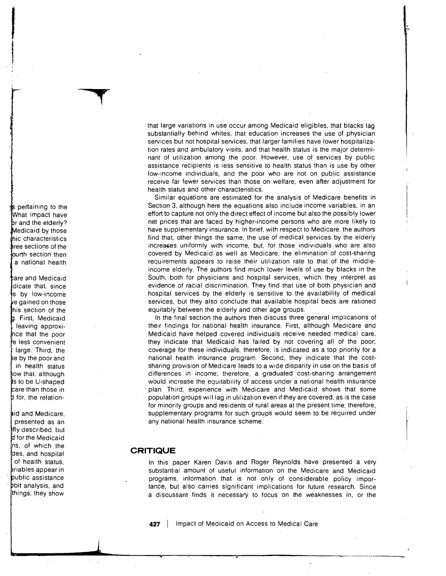that large variations in use occur among Medicaid eligibles, that blacks lag substantially behind whites, that education increases the use of physician services but not hospital services, that larger families have lower hospitalization rates and ambulatory visits, and that health status is the major determinant of utilization among the poor. However, use of services by public assistance recipients is less sensitive to health status than is use by other low-income individuals, and the poor who are not on public assistance receive far fewer services than those on welfare, even after adjustment for health status and other characteristics.

Similar equations are estimated for the analysis of Medicare benefits in Section 3, although here the equations also include income variables, in an effort to capture not only the direct effect of income but also the possibly lower net prices that are faced by higher-income persons who are more likely to have supplementary insurance. In brief, with respect to Medicare, the authors find that, other things the same, the use of medical services by the elderly increases uniformly with income, but, for those individuals who are also covered by Medicaid as well as Medicare, the elimination of cost-sharing requirements appears to raise their utilization rate to that of the middleincome elderly. The authors find much lower levels of use by blacks in the South, both for physicians and hospital services, which they interpret as evidence of racial discrimination. They find that use of both physician and hospital services by the elderly is sensitive to the availability of medical services, but they also conclude that available hospital beds are rationed equitably between the elderly and other age groups.

In the final section the authors then discuss three general implications of their findings for national health insurance. First, although Medicare and Medicaid have helped covered individuals receive needed medical care, they indicate that Medicaid has failed by not covering all of the poor; coverage for these individuals, therefore, is indicated as a top priority for a national health insurance program. Second, they indicate that the costsharing provision of Medicare leads to a wide disparity in use on the basis of differences in income; therefore, a graduated cost-sharing arrangement would increase the equitability of access under a national health insurance plan. Third, experience with Medicare and Medicaid shows that some population groups will lag in utilization even if they are covered, as is the case for minority groups and residents of rural areas at the present time; therefore, supplementary programs for such groups would seem to be required under any national health insurance scheme.

#### CRITIQUE

In this paper Karen Davis and Roger Reynolds have presented a very substantial amount of useful information on the Medicare and Medicaid programs, information that is not only of considerable policy importance, but also carries significant implications for future research. Since a discussant finds it necessary to focus on the weaknesses in, or the

**427** | Impact of Medicaid on Access to Medical Care

I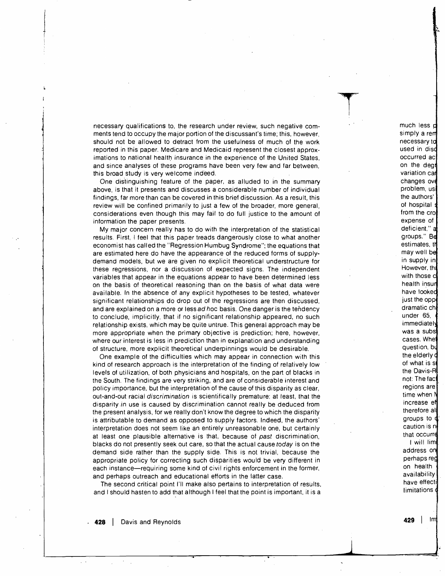necessary qualifications to, the research under review, such negative comments tend to occupy the major portion of the discussant's time; this, however, should not be allowed to detract from the usefulness of much of the work reported in this paper. Medicare and Medicaid represent the closest approximations to national health insurance in the experience of the United States, and since analyses of these programs have been very few and far between, this broad study is very welcome indeed.

 $\frac{1}{2}$ 

One distinguishing feature of the paper, as alluded to in the summary above, is that it presents and discusses a considerable number of individual findings, far more than can be covered in this brief discussion. As a result, this review will be confined primarily to just a few of the broader, more general, considerations even though this may fail to do full justice to the amount of information the paper presents.

My major concern really has to do with the interpretation of the statistical results. First, I feel that this paper treads dangerously close to what another economist has called the "Regression Humbug Syndrome"; the equations that are estimated here do have the appearance of the reduced forms of supplydemand models, but we are given no explicit theoretical understructure for these regressions, nor a discussion of expected signs. The independent variables that appear in the equations appear to have been determined less on the basis of theoretical reasoning than on the basis of what data were available. In the absence of any explicit hypotheses to be tested, whatever significant relationships do drop out of the regressions are then discussed, and are explained on a more or less ad hoc basis. One danger is the tendency to conclude, implicitly, that if no significant relationship appeared, no such relationship exists, which may be quite untrue. This general approach may be more appropriate when the primary objective is prediction; here, however, where our interest is less in prediction than in explanation and understanding of structure, more explicit theoretical underpinnings would be desirable.

One example of the difficulties which may appear in connection with this kind of research approach is the interpretation of the finding of relatively low levels of utilization, of both physicians and hospitals, on the part of blacks in the South. The findings are very striking, and are of considerable interest and policy importance, but the interpretation of the cause of this disparity as clear, out-and-out racial discrimination is scientifically premature; at least, that the disparity in use is caused by discrimination cannot really be deduced from the present analysis, for we really don't know the degree to which the disparity is attributable to demand as opposed to supply factors. Indeed, the authors' interpretation does not seem like an entirely unreasonable one, but certainly at least one plausible alternative is that, because of past discrimination, blacks do not presently seek out care, so that the actual cause today is on the demand side rather than the supply side. This is not trivial, because the appropriate policy for correcting such disparities would be very different in each instance—requiring some kind of civil rights enforcement in the former, and perhaps outreach and educational efforts in the latter case.

The second critical point I'll make also pertains to interpretation of results, and I should hasten to add that although I feel that the point is important, it is a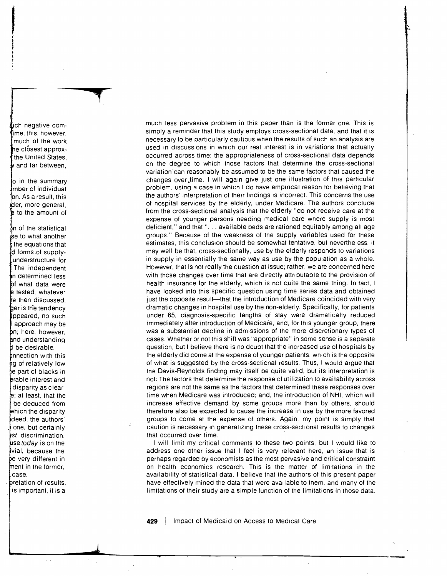much less pervasive problem in this paper than is the former one. This is simply a reminder that this study employs cross-sectional data, and that it is necessary to be particularly cautious when the results of such an analysis are used in discussions in which our real interest is in variations that actually occurred across time; the appropriateness of cross-sectional data depends on the degree to which those factors that determine the cross-sectional variation can reasonably be assumed to be the same factors that caused the changes over time. I will again give just one illustration of this particular problem, using a case in which I do have empirical reason for believing that the authors' interpretation of their findings is incorrect. This concerns the use of hospital services by the elderly, under Medicare. The authors conclude from the cross-sectional analysis that the elderly 'do not receive care at the expense of younger persons needing medical care where supply is most deficient," and that ". . . available beds are rationed equitably among all age groups." Because of the weakness of the supply variables used for these estimates, this conclusion should be somewhat tentative, but nevertheless, it may well be that, cross-sectionally, use by the elderly responds to variations in supply in essentially the same way as use by the population as a whole. However, that is not really the question at issue; rather, we are concerned here with those changes over time that are directly attributable to the provision of health insurance for the elderly, which is not quite the same thing. In fact, <sup>I</sup> have looked into this specific question using time series data and obtained just the opposite result—that the introduction of Medicare coincided with very dramatic changes in hospital use by the non-elderly. Specifically, for patients under 65, diagnosis-specific lengths of stay were dramatically reduced immediately after introduction of Medicare, and, for this younger group, there was a substantial decline in admissions of the more discretionary types of cases. Whether or not this shift was "appropriate" in some sense is a separate question, but I believe there is no doubt that the increased use of hospitals by the elderly did come at the expense of younger patients, which is the opposite of what is suggested by the cross-sectional results. Thus, I would argue that the Davis-Reynolds finding may itself be quite valid, but its interpretation is not: The factors that determine the response of utilization to availability across regions are not the same as the factors that determined these responses over time when Medicare was introduced; and, the introduction of NHI, which will increase effective demand by some groups more than by others, should therefore also be expected to cause the increase in use by the more favored groups to come at the expense of others. Again, my point is simply that caution is necessary in generalizing these cross-sectional results to changes that occurred over time.

<sup>I</sup> will limit my critical comments to these two points, but <sup>I</sup> would like to address one other issue that <sup>I</sup> feel is very relevant here, an issue that is perhaps regarded by economists as the most pervasive and critical constraint on health economics research. This is the matter of limitations in the availability of statistical data. <sup>I</sup> believe that the authors of this present paper have effectively mined the data that were available to them, and many of the limitations of their study are a simple function of the limitations in those data.

**429** | Impact of Medicaid on Access to Medical Care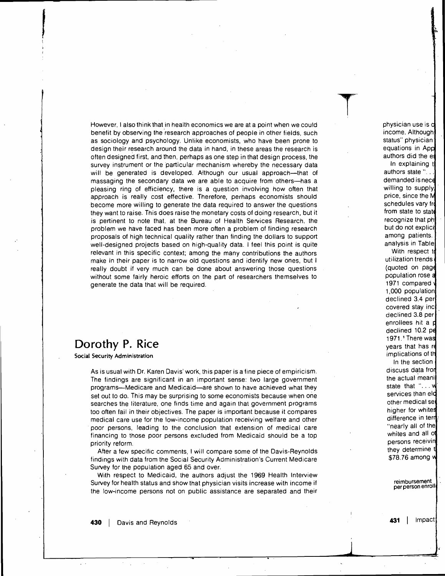However, I also think that in health economics we are at a point when we could benefit by observing the research approaches of people in other fields, such as sociology and psychology. Unlike economists, who have been prone to design their research around the data in hand, in these areas the research is often designed first, and then, perhaps as one step in that design process, the survey instrument or the particular mechanism whereby the necessary data will be generated is developed. Although our usual approach—that of massaging the secondary data we are able to acquire from others—has a pleasing ring of efficiency, there is a question involving how often that approach is really cost effective. Therefore, perhaps economists should become more willing to generate the data required to answer the questions they want to raise. This does raise the monetary costs of doing research, but it is pertinent to note that, at the Bureau of Health Services Research, the problem we have faced has been more often a problem of finding research proposals of high technical quality rather than finding the dollars to support well-designed projects based on high-quality data. <sup>I</sup> feel this point is quite relevant in this specific context; among the many contributions the authors make in their paper is to narrow old questions and identify new ones, but <sup>I</sup> really doubt if very much can be done about answering those questions without some fairly heroic efforts on the part of researchers themselves to generate the data that will be required.

# Dorothy P. Rice

Social Security Administration

As is usual with Dr. Karen Davis' work, this paper is a fine piece of empiricism. The findings are significant in an important sense: two large government programs—Medicare and Medicaid—are shown to have achieved what they set out to do. This may be surprising to some economists because when one searches the literature, one finds time and again that government programs too often fail in their objectives. The paper is important because it compares medical care use for the low-income population receiving welfare and other poor persons, leading to the conclusion that extension of medical care financing to those poor persons excluded from Medicaid should be a top priority reform.

After a few specific comments, I will compare some of the Davis-Reynolds findings with data from the Social Security Administration's Current Medicare Survey for the population aged 65 and over.

With respect to Medicaid, the authors adjust the 1969 Health Interview Survey for health status and show that physician visits increase with income if the low-income persons not on public assistance are separated and their

 $\overline{\phantom{a}}$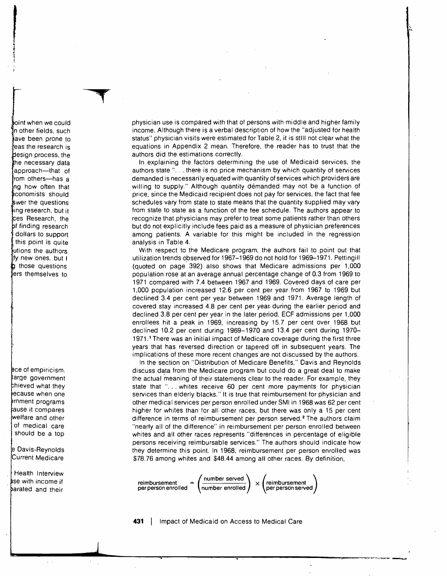physician use is compared with that of persons with middle and higher family income. Although there is a verbal description of how the "adjusted for health status" physician visits were estimated for Table 2, it is stIll not clear what the equations in Appendix 2 mean. Therefore, the reader has to trust that the authors did the estimations correctly.

In explaining the factors determining the use of Medicaid services, the authors state ". . . there is no price mechanism by which quantity of services demanded is necessarily equated with quantity of services which providers are willing to supply." Although quantity demanded may not be a function of price, since the Medicaid recipient does not pay for services, the fact that fee schedules vary from state to state means that the quantity supplied may vary from state to state as a function of the fee schedule. The authors appear to recognize that physicians may prefer to treat some patients rather than others but do not explicitly include fees paid as a measure of physician preferences among patients. A variable for this might be included in the regression analysis in Table 4.

With respect to the Medicare program, the authors fail to point out that utilization trends observed for 1967—1969 do not hold for 1969—1971. Pettingill (quoted on page 392) also shows that Medicare admissions per 1,000 population rose at an average annual percentage change of 0.3 from 1969 to 1971 compared with 7.4 between 1967 and 1969. Covered days of care per 1,000 population increased 12.6 per cent per year from 1967 to 1969 but declined 3.4 per cent per year between 1969 and 1971. Average length of covered stay increased 4.8 per cent per year during the earlier period and declined 3.8 per cent per year in the later period. ECF admissions per 1,000 enrollees hit a peak in 1969, increasing by 15.7 per cent over 1968 but declined 10.2 per cent during 1969—1970 and 13.4 per cent during 1970— 1971.1 There was an initial impact of Medicare coverage during the first three years that has reversed direction or tapered off in subsequent years. The implications of these more recent changes are not discussed by the authors.

In the section on "Distribution of Medicare Benefits," Davis and Reynolds discuss data from the Medicare program but could do a great deal to make the actual meaning of their statements clear to the reader. For example, they state that ". .. whites receive 60 per cent more payments for physician services than elderly blacks." It is true that reimbursement for physician and other medical services per person enrolled under SMI in 1968 was 62 per cent higher for whites than for all other races, but there was only a 15 per cent difference in terms of reimbursement per person served.<sup>2</sup> The authors claim "nearly all of the difference" in reimbursement per person enrolled between whites and all other races represents "differences in percentage of eligible persons receiving reimbursable services." The authors should indicate how they determine this point. In 1968, reimbursement per person enrolled was \$78.76 among whites and \$48.44 among all other races. By definition,

$$
reimbursement = \left(\frac{number served}{number enrolled}\right) \times \left(\begin{matrix}reimbursement \\per person enrolled\end{matrix}\right)
$$

**431** Impact of Medicaid on Access to Medical Care

j.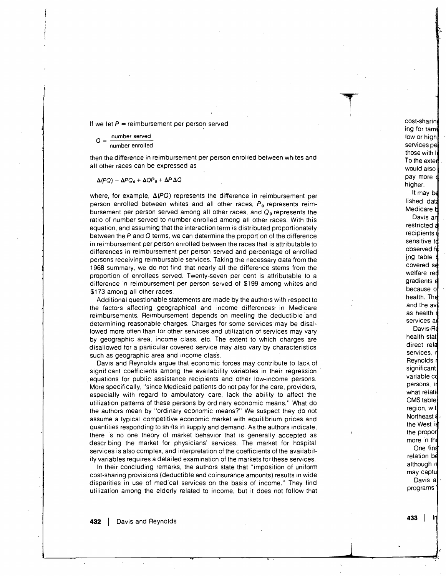If we let  $P =$  reimbursement per person served

number served number enrolled

then the difference in reimbursement per person enrolled between whites and all other races can be expressed as

 $\Delta (PQ) = \Delta PQ_0 + \Delta QP_0 + \Delta P \Delta Q$ 

where, for example,  $\Delta(PQ)$  represents the difference in reimbursement per person enrolled between whites and all other races,  $P_0$  represents reimbursement per person served among all other races, and  $Q_0$  represents the ratio of number served to number enrolled among all other races. With this equation, and assuming that the interaction term is distributed proportionately between the  $P$  and  $Q$  terms, we can determine the proportion of the difference in reimbursement per person enrolled between the races that is attributable to differences in reimbursement per person served and percentage of enrolled persons receiving reimbursable services. Taking the necessary data from the 1968 summary, we do not find that nearly all the difference stems from the proportion of enrollees served. Twenty-seven per cent is attributable to a difference in reimbursement per person served of \$199 among whites and \$173 among all other races.

Additional questionable statements are made by the authors with respect to the factors affecting geographical and income differences in Medicare reimbursements. Reimbursement depends on meeting the deductible and determining reasonable charges. Charges for some services may be disallowed more often than for other services and utilization of services may vary by geographic area, income class, etc. The extent to which charges are disallowed for a particular covered service may also vary by characteristics such as geographic area and income class.

Davis and Reynolds argue that economic forces may contribute to lack of significant coefficients among the availability variables in their regression equations for public assistance recipients and other low-income persons. More specifically, "since Medicaid patients do not pay for the care, providers, especially with regard to ambulatory care, lack the ability to affect the utilization patterns of these persons by ordinary economic means." What do the authors mean by "ordinary economic means?" We suspect they do not assume a typical competitive economic market with equilibrium prices and quantities responding to shifts in supply and demand. As the authors indicate, there is no one theory of market behavior that is generally accepted as describing the market for physicians' services. The market for hospital services is also complex, and interpretation of the coefficients of the availability variables requires a detailed examination of the markets for these services.

In their concluding remarks, the authors state that "imposition of uniform cost-sharing provisions (deductible and coinsurance amounts) results in wide disparities in use of medical services on the basis of income." They find utilization among the elderly related to income, but it does not follow that

j -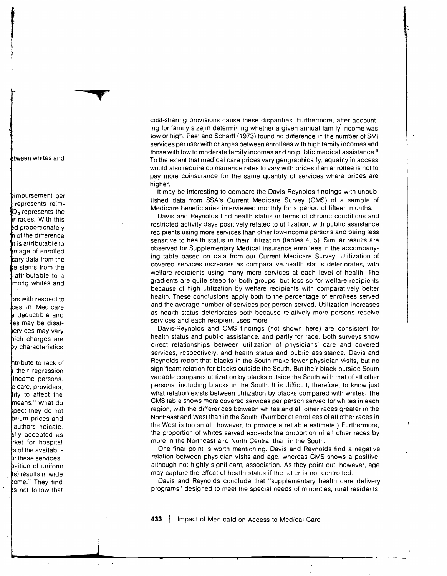cost-sharing provisions cause these disparities. Furthermore, after accounting for family size in determining whether a given annual family income was low or high, Peel and Scharff (1973) found no difference in the number of SMI services per user with charges between enrollees with high family incomes and those with low to moderate family incomes and no public medical assistance.3 To the extent that medical care prices vary geographically, equality in access would also require coinsurance rates to vary with prices if an enrollee is not to pay more coinsurance for the same quantity of services where prices are higher.

It may be interesting to compare the Davis-Reynolds findings with unpublished data from SSA's Current Medicare Survey (CMS) of a sample of Medicare beneficiaries interviewed monthly for a period of fifteen months.

Davis and Reynolds find health status in terms of chronic conditions and restricted activity days positively related to utilization, with public assistance recipients using more services than other low-income persons and being less sensitive to health status in their utilization (tables 4, 5). Similar results are observed for Supplementary Medical Insurance enrollees in the accompanying table based on data from our Current Medicare Survey. Utilization of covered services increases as comparative, health status deteriorates, with welfare recipients using many more services at each level of health. The gradients are quite steep for both groups, but less so for welfare recipients because of high utilization by welfare recipients with comparatively better health. These conclusions apply both to the percentage of enrollees served and the average number of services per person served. Utilization increases as health status deteriorates both because relatively more persons receive services and each recipient uses more.

Davis-Reynolds and CMS findings (not shown here) are consistent for health status and public assistance, and partly for race. Both surveys show direct relationships between utilization of physicians' care and covered services, respectively, and health status and public assistance. Davis and Reynolds report that blacks in the South make fewer physician visits, but no significant relation for blacks outside the South. But their black-outside South variable compares utilization by blacks outside the South with that of all other persons, including blacks in the South. It is difficult, therefore, to know just what relation exists between utilization by blacks compared with whites. The CMS table shows more covered services per person served for whites in each region, with the differences between whites and all other races greater in the Northeast and West than in the South. (Number of enrollees of all other races in the West is too small, however, to provide a reliable estimate.) Furthermore, the proportion of whites served exceeds the proportion of all other races by more in the Northeast and North Central than in the South. cost-straining provisions cause these disperiites. Furthermore, after accounts<br>not from the preferred and Section and Section and Section and Section and Section and Section and Section and Section and Section and Section

One final point is worth mentioning. Davis and Reynolds find a negative relation between physician visits and age, whereas CMS shows a positive, although not highly significant, association. As they point out, however, age may capture the effect of health status if the latter is not controlled.

Davis and Reynolds conclude that "supplementary health care delivery programs" designed to meet the special needs of minorities, rural residents,

 $\frac{1}{2}$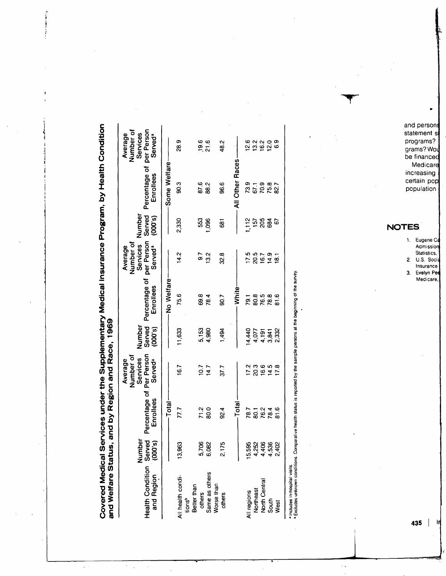$\frac{1}{2}$ 

J  $\ddot{\phantom{0}}$ 

 $\ddot{\phantom{0}}$ 

| <b>Health Condition Served</b>                                                                                                                             | dor<br>m<br>N                  | Percentage of Per Person | Number of<br>Services<br>Average | Number<br>Served | Percentage of | per Person<br>Number of<br>Services<br>Average | Number<br><b>Served</b> | Percentage of   | per Person<br>Number of<br>Services<br>Average |
|------------------------------------------------------------------------------------------------------------------------------------------------------------|--------------------------------|--------------------------|----------------------------------|------------------|---------------|------------------------------------------------|-------------------------|-----------------|------------------------------------------------|
| and Region                                                                                                                                                 | (000's)                        | Enrollees                | <b>Servedª</b>                   | $(000\text{ s})$ | Enrollees     | Served <sup>a</sup>                            | $(000\text{ s})$        | Enrollees       | Served <sup>a</sup>                            |
|                                                                                                                                                            |                                | Total                    |                                  |                  | No Welfare    |                                                |                         | Some Welfare    |                                                |
| All health condi-<br>Better than<br>tions <sup>b</sup>                                                                                                     | 13,963                         | 77.7                     | 16.7                             | 11,633           | 75.6          | 14.2                                           | 2,330                   | 90.3            | 28.9                                           |
| others                                                                                                                                                     |                                |                          | 10.7                             | 5,153            | 69.8          | $\overline{9.7}$                               | 553                     | 87.6            |                                                |
| Same as others<br>Worse than                                                                                                                               | 5,706<br>6,082                 | $71.2$<br>80.0           | 14.7                             | 4,980            | 78.4          | 13.2                                           | ,096                    | 88.2            | 19.6<br>21.6                                   |
| others                                                                                                                                                     | 175<br>$\overline{\mathbf{a}}$ | 92.4                     | 37.7                             | 1,494            | 50C           | 32.8                                           | 58                      | 96.6            | 48.2                                           |
|                                                                                                                                                            |                                | Total                    |                                  |                  | White         |                                                |                         | All Other Races |                                                |
| All regions                                                                                                                                                | 595<br>5<br>5                  | 78.7                     | 17.2                             | 14,440           | 79.1          | 17.5                                           | 1,112                   | 73.9            | 12.6                                           |
| Northeast                                                                                                                                                  | 4,252                          | 80.1                     | 20.3                             | 4,077            | 80.8          | 20.5                                           | 157                     |                 |                                                |
| North Central                                                                                                                                              |                                |                          | 16.6                             | 4,191            | 76.5          | 16.7                                           | 205                     |                 |                                                |
| South                                                                                                                                                      | 44532<br>4452                  | 78.4<br>78.4             | 14.5                             | 3,841            | 78.8          | 14.9                                           | 684                     | 52582<br>5258   |                                                |
| West                                                                                                                                                       |                                | 81.6                     | 17.8                             | 2,332            | 81.6          | $\overline{8}$                                 | 67                      |                 |                                                |
| Excludes unknown conditions. Comparative health status is reported by the sample persons at the beginning of the survey.<br>· Includes in-hospital visits. |                                |                          |                                  |                  |               |                                                |                         |                 |                                                |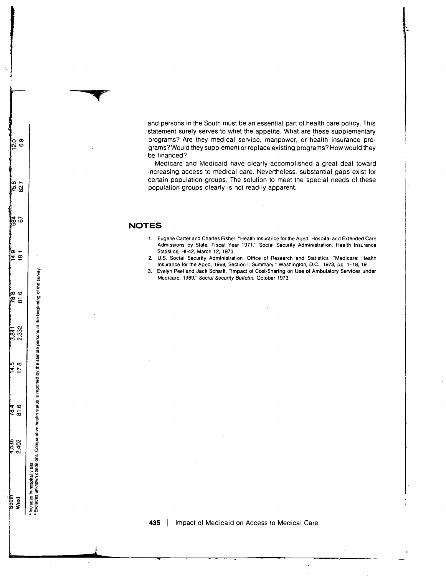and persons in the South must be an essential part of health care policy. This statement surely serves to whet the appetite. What are these supplementary programs? Are they medical service, manpower, or health insurance programs? Would they supplement or replace existing programs? How would they be financed?

Medicare and Medicaid have clearly accomplished a great deal toward increasing access to medical care. Nevertheless, substantial gaps exist for certain population groups. The solution to meet the special needs of these population groups clearly is not readily apparent.

#### **NOTES**

- 1. Eugene Carter and Charles Fisher, "Health Insurance for the Aged: Hospital and Extended Care Admissions by State, Fiscal Year 1971," Social Security Administration, Health Insurance Statistics, HI-42, March 12, 1973.
- 2. U.S. Social Security Administration, Office of Research and Statistics, "Medicare: Health Insurance for the Aged, 1968, Section I: Summary," Washington, D.C., 1973, pp. 1-18, 19.
- 3. Evelyn Peel and Jack Scharff, "Impact of Cost-Sharing on Use of Ambulatory Services under Medicare, 1969," Social Security Bulletin, October 1973.